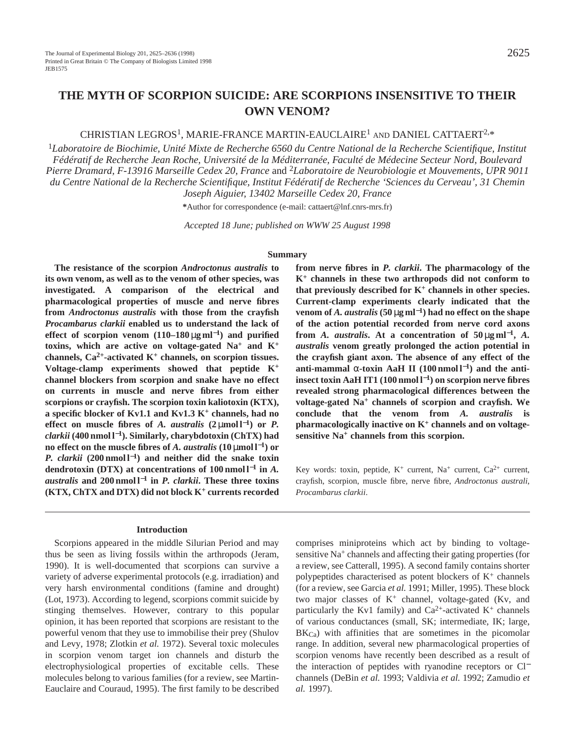# **THE MYTH OF SCORPION SUICIDE: ARE SCORPIONS INSENSITIVE TO THEIR OWN VENOM?**

# CHRISTIAN LEGROS1, MARIE-FRANCE MARTIN-EAUCLAIRE1 AND DANIEL CATTAERT2,\*

<sup>1</sup>*Laboratoire de Biochimie, Unité Mixte de Recherche 6560 du Centre National de la Recherche Scientifique, Institut Fédératif de Recherche Jean Roche, Université de la Méditerranée, Faculté de Médecine Secteur Nord, Boulevard Pierre Dramard, F-13916 Marseille Cedex 20, France* and 2*Laboratoire de Neurobiologie et Mouvements, UPR 9011 du Centre National de la Recherche Scientifique, Institut Fédératif de Recherche 'Sciences du Cerveau', 31 Chemin Joseph Aiguier, 13402 Marseille Cedex 20, France*

**\***Author for correspondence (e-mail: cattaert@lnf.cnrs-mrs.fr)

*Accepted 18 June; published on WWW 25 August 1998*

### **Summary**

**The resistance of the scorpion** *Androctonus australis* **to its own venom, as well as to the venom of other species, was investigated. A comparison of the electrical and pharmacological properties of muscle and nerve fibres from** *Androctonus australis* **with those from the crayfish** *Procambarus clarkii* **enabled us to understand the lack of effect of scorpion venom (110–180** µ**g ml**<sup>−</sup>**1) and purified toxins, which are active on voltage-gated Na+ and K+ channels, Ca2+-activated K+ channels, on scorpion tissues. Voltage-clamp experiments showed that peptide K+ channel blockers from scorpion and snake have no effect on currents in muscle and nerve fibres from either scorpions or crayfish. The scorpion toxin kaliotoxin (KTX), a specific blocker of Kv1.1 and Kv1.3 K<sup>+</sup> channels, had no effect on muscle fibres of A. australis**  $(2 \mu mol l^{-1})$  or P. *clarkii* **(400 nmol l**<sup>−</sup>**1). Similarly, charybdotoxin (ChTX) had no effect on the muscle fibres of** *A. australis* $(10 \mu \text{mol} \text{ l}^{-1})$  **or** *P. clarkii* (200 nmol l<sup>−1</sup>) and neither did the snake toxin **dendrotoxin (DTX) at concentrations of 100 nmol l**−**<sup>1</sup> in** *A. australis* **and 200 nmol l**−**<sup>1</sup> in** *P. clarkii***. These three toxins (KTX, ChTX and DTX) did not block K<sup>+</sup> currents recorded**

#### **Introduction**

Scorpions appeared in the middle Silurian Period and may thus be seen as living fossils within the arthropods (Jeram, 1990). It is well-documented that scorpions can survive a variety of adverse experimental protocols (e.g. irradiation) and very harsh environmental conditions (famine and drought) (Lot, 1973). According to legend, scorpions commit suicide by stinging themselves. However, contrary to this popular opinion, it has been reported that scorpions are resistant to the powerful venom that they use to immobilise their prey (Shulov and Levy, 1978; Zlotkin *et al.* 1972). Several toxic molecules in scorpion venom target ion channels and disturb the electrophysiological properties of excitable cells. These molecules belong to various families (for a review, see Martin-Eauclaire and Couraud, 1995). The first family to be described **from nerve fibres in** *P. clarkii***. The pharmacology of the K+ channels in these two arthropods did not conform to that previously described for K+ channels in other species. Current-clamp experiments clearly indicated that the venom of** *A. australis* **(50** µ**g ml**<sup>−</sup>**1) had no effect on the shape of the action potential recorded from nerve cord axons from** *A. australis.* At a concentration of  $50 \mu g \text{m}^{-1}$ , *A. australis* **venom greatly prolonged the action potential in the crayfish giant axon. The absence of any effect of the** anti-mammal  $\alpha$ -toxin AaH II (100 nmol  $l^{-1}$ ) and the anti**insect toxin AaH IT1 (100 nmol l**<sup>−</sup>**1) on scorpion nerve fibres revealed strong pharmacological differences between the voltage-gated Na<sup>+</sup> channels of scorpion and crayfish. We conclude that the venom from** *A. australis* **is pharmacologically inactive on K<sup>+</sup> channels and on voltagesensitive Na<sup>+</sup> channels from this scorpion.**

Key words: toxin, peptide, K+ current, Na+ current, Ca2+ current, crayfish, scorpion, muscle fibre, nerve fibre, *Androctonus australi*, *Procambarus clarkii*.

comprises miniproteins which act by binding to voltagesensitive Na<sup>+</sup> channels and affecting their gating properties (for a review, see Catterall, 1995). A second family contains shorter polypeptides characterised as potent blockers of  $K^+$  channels (for a review, see Garcia *et al.* 1991; Miller, 1995). These block two major classes of  $K^+$  channel, voltage-gated (Kv, and particularly the Kv1 family) and  $Ca^{2+}$ -activated K<sup>+</sup> channels of various conductances (small, SK; intermediate, IK; large,  $BK<sub>Ca</sub>$ ) with affinities that are sometimes in the picomolar range. In addition, several new pharmacological properties of scorpion venoms have recently been described as a result of the interaction of peptides with ryanodine receptors or Cl<sup>−</sup> channels (DeBin *et al.* 1993; Valdivia *et al.* 1992; Zamudio *et al.* 1997).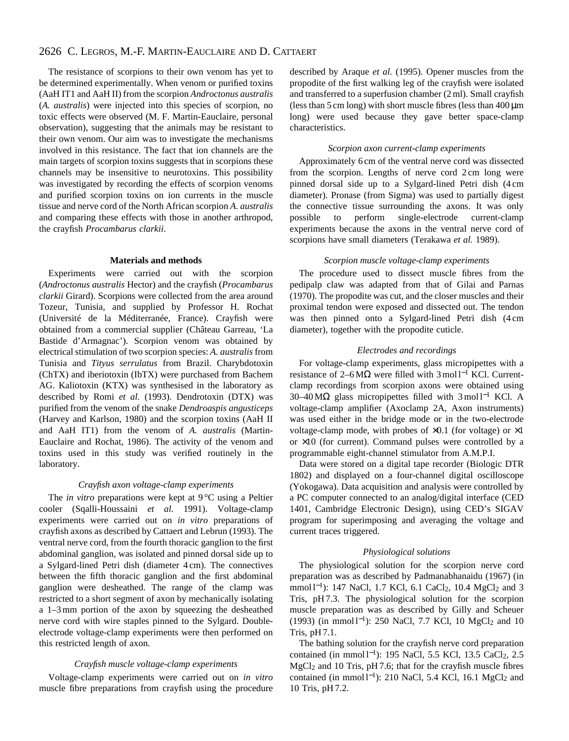# 2626 C. LEGROS, M.-F. MARTIN-EAUCLAIRE AND D. CATTAERT

The resistance of scorpions to their own venom has yet to be determined experimentally. When venom or purified toxins (AaH IT1 and AaH II) from the scorpion *Androctonus australis* (*A. australis*) were injected into this species of scorpion, no toxic effects were observed (M. F. Martin-Eauclaire, personal observation), suggesting that the animals may be resistant to their own venom. Our aim was to investigate the mechanisms involved in this resistance. The fact that ion channels are the main targets of scorpion toxins suggests that in scorpions these channels may be insensitive to neurotoxins. This possibility was investigated by recording the effects of scorpion venoms and purified scorpion toxins on ion currents in the muscle tissue and nerve cord of the North African scorpion *A. australis* and comparing these effects with those in another arthropod, the crayfish *Procambarus clarkii*.

#### **Materials and methods**

Experiments were carried out with the scorpion (*Androctonus australis* Hector) and the crayfish (*Procambarus clarkii* Girard). Scorpions were collected from the area around Tozeur, Tunisia, and supplied by Professor H. Rochat (Université de la Méditerranée, France). Crayfish were obtained from a commercial supplier (Château Garreau, 'La Bastide d'Armagnac'). Scorpion venom was obtained by electrical stimulation of two scorpion species: *A. australis* from Tunisia and *Tityus serrulatus* from Brazil. Charybdotoxin (ChTX) and iberiotoxin (IbTX) were purchased from Bachem AG. Kaliotoxin (KTX) was synthesised in the laboratory as described by Romi *et al.* (1993). Dendrotoxin (DTX) was purified from the venom of the snake *Dendroaspis angusticeps* (Harvey and Karlson, 1980) and the scorpion toxins (AaH II and AaH IT1) from the venom of *A. australis* (Martin-Eauclaire and Rochat, 1986). The activity of the venom and toxins used in this study was verified routinely in the laboratory.

#### *Crayfish axon voltage-clamp experiments*

The *in vitro* preparations were kept at 9 °C using a Peltier cooler (Sqalli-Houssaini *et al.* 1991). Voltage-clamp experiments were carried out on *in vitro* preparations of crayfish axons as described by Cattaert and Lebrun (1993). The ventral nerve cord, from the fourth thoracic ganglion to the first abdominal ganglion, was isolated and pinned dorsal side up to a Sylgard-lined Petri dish (diameter 4 cm). The connectives between the fifth thoracic ganglion and the first abdominal ganglion were desheathed. The range of the clamp was restricted to a short segment of axon by mechanically isolating a 1–3 mm portion of the axon by squeezing the desheathed nerve cord with wire staples pinned to the Sylgard. Doubleelectrode voltage-clamp experiments were then performed on this restricted length of axon.

#### *Crayfish muscle voltage-clamp experiments*

Voltage-clamp experiments were carried out on *in vitro* muscle fibre preparations from crayfish using the procedure described by Araque *et al.* (1995). Opener muscles from the propodite of the first walking leg of the crayfish were isolated and transferred to a superfusion chamber (2 ml). Small crayfish (less than  $5 \text{ cm}$  long) with short muscle fibres (less than  $400 \mu m$ ) long) were used because they gave better space-clamp characteristics.

### *Scorpion axon current-clamp experiments*

Approximately 6 cm of the ventral nerve cord was dissected from the scorpion. Lengths of nerve cord 2 cm long were pinned dorsal side up to a Sylgard-lined Petri dish (4 cm diameter). Pronase (from Sigma) was used to partially digest the connective tissue surrounding the axons. It was only possible to perform single-electrode current-clamp experiments because the axons in the ventral nerve cord of scorpions have small diameters (Terakawa *et al.* 1989).

### *Scorpion muscle voltage-clamp experiments*

The procedure used to dissect muscle fibres from the pedipalp claw was adapted from that of Gilai and Parnas (1970). The propodite was cut, and the closer muscles and their proximal tendon were exposed and dissected out. The tendon was then pinned onto a Sylgard-lined Petri dish (4 cm diameter), together with the propodite cuticle.

### *Electrodes and recordings*

For voltage-clamp experiments, glass micropipettes with a resistance of 2–6 M $\Omega$  were filled with 3 mol l<sup>-1</sup> KCl. Currentclamp recordings from scorpion axons were obtained using 30–40 MΩ glass micropipettes filled with 3 mol l−<sup>1</sup> KCl. A voltage-clamp amplifier (Axoclamp 2A, Axon instruments) was used either in the bridge mode or in the two-electrode voltage-clamp mode, with probes of  $\times 0.1$  (for voltage) or  $\times 1$ or  $\times 10$  (for current). Command pulses were controlled by a programmable eight-channel stimulator from A.M.P.I.

Data were stored on a digital tape recorder (Biologic DTR 1802) and displayed on a four-channel digital oscilloscope (Yokogawa). Data acquisition and analysis were controlled by a PC computer connected to an analog/digital interface (CED 1401, Cambridge Electronic Design), using CED's SIGAV program for superimposing and averaging the voltage and current traces triggered.

#### *Physiological solutions*

The physiological solution for the scorpion nerve cord preparation was as described by Padmanabhanaidu (1967) (in mmol l<sup>-1</sup>): 147 NaCl, 1.7 KCl, 6.1 CaCl<sub>2</sub>, 10.4 MgCl<sub>2</sub> and 3 Tris, pH 7.3. The physiological solution for the scorpion muscle preparation was as described by Gilly and Scheuer (1993) (in mmol l<sup>−</sup>1): 250 NaCl, 7.7 KCl, 10 MgCl2 and 10 Tris, pH 7.1.

The bathing solution for the crayfish nerve cord preparation contained (in mmol l<sup>−</sup>1): 195 NaCl, 5.5 KCl, 13.5 CaCl2, 2.5 MgCl2 and 10 Tris, pH 7.6; that for the crayfish muscle fibres contained (in mmol  $l^{-1}$ ): 210 NaCl, 5.4 KCl, 16.1 MgCl<sub>2</sub> and 10 Tris, pH 7.2.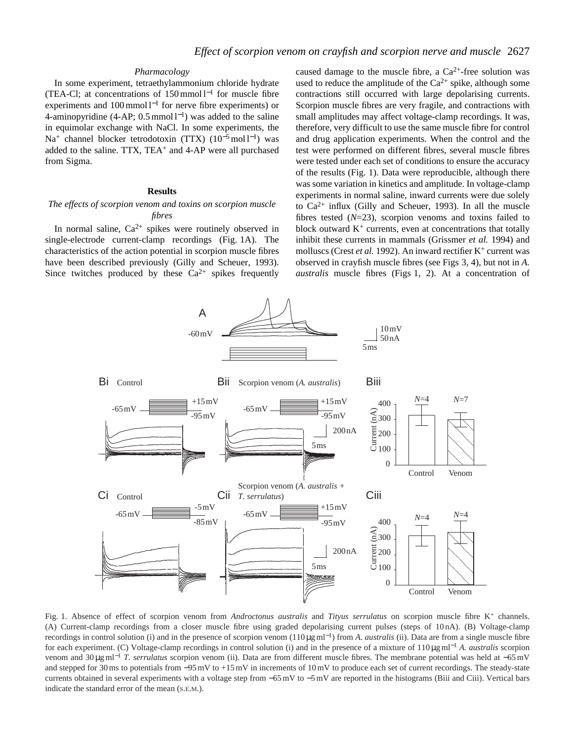### *Pharmacology*

In some experiment, tetraethylammonium chloride hydrate (TEA-Cl; at concentrations of 150 mmol l−<sup>1</sup> for muscle fibre experiments and 100 mmol l<sup>-1</sup> for nerve fibre experiments) or 4-aminopyridine (4-AP;  $0.5$  mmol  $l^{-1}$ ) was added to the saline in equimolar exchange with NaCl. In some experiments, the Na<sup>+</sup> channel blocker tetrodotoxin (TTX) (10<sup>-5</sup>mol l<sup>-1</sup>) was added to the saline. TTX, TEA<sup>+</sup> and 4-AP were all purchased from Sigma.

### **Results**

### *The effects of scorpion venom and toxins on scorpion muscle fibres*

In normal saline,  $Ca^{2+}$  spikes were routinely observed in single-electrode current-clamp recordings (Fig. 1A). The characteristics of the action potential in scorpion muscle fibres have been described previously (Gilly and Scheuer, 1993). Since twitches produced by these  $Ca^{2+}$  spikes frequently caused damage to the muscle fibre, a  $Ca^{2+}$ -free solution was used to reduce the amplitude of the  $Ca^{2+}$  spike, although some contractions still occurred with large depolarising currents. Scorpion muscle fibres are very fragile, and contractions with small amplitudes may affect voltage-clamp recordings. It was, therefore, very difficult to use the same muscle fibre for control and drug application experiments. When the control and the test were performed on different fibres, several muscle fibres were tested under each set of conditions to ensure the accuracy of the results (Fig. 1). Data were reproducible, although there was some variation in kinetics and amplitude. In voltage-clamp experiments in normal saline, inward currents were due solely to  $Ca^{2+}$  influx (Gilly and Scheuer, 1993). In all the muscle fibres tested (*N*=23), scorpion venoms and toxins failed to block outward  $K^+$  currents, even at concentrations that totally inhibit these currents in mammals (Grissmer *et al.* 1994) and molluscs (Crest et al. 1992). An inward rectifier K<sup>+</sup> current was observed in crayfish muscle fibres (see Figs 3, 4), but not in *A. australis* muscle fibres (Figs 1, 2). At a concentration of



Fig. 1. Absence of effect of scorpion venom from *Androctonus australis* and *Tityus serrulatus* on scorpion muscle fibre K+ channels. (A) Current-clamp recordings from a closer muscle fibre using graded depolarising current pulses (steps of 10 nA). (B) Voltage-clamp recordings in control solution (i) and in the presence of scorpion venom (110 µg ml<sup>−</sup>1) from *A. australis* (ii). Data are from a single muscle fibre for each experiment. (C) Voltage-clamp recordings in control solution (i) and in the presence of a mixture of 110µg ml−<sup>1</sup> *A. australis* scorpion venom and 30 µg ml−<sup>1</sup> *T. serrulatus* scorpion venom (ii). Data are from different muscle fibres. The membrane potential was held at −65 mV and stepped for 30 ms to potentials from −95 mV to +15 mV in increments of 10 mV to produce each set of current recordings. The steady-state currents obtained in several experiments with a voltage step from −65 mV to −5 mV are reported in the histograms (Biii and Ciii). Vertical bars indicate the standard error of the mean (S.E.M.).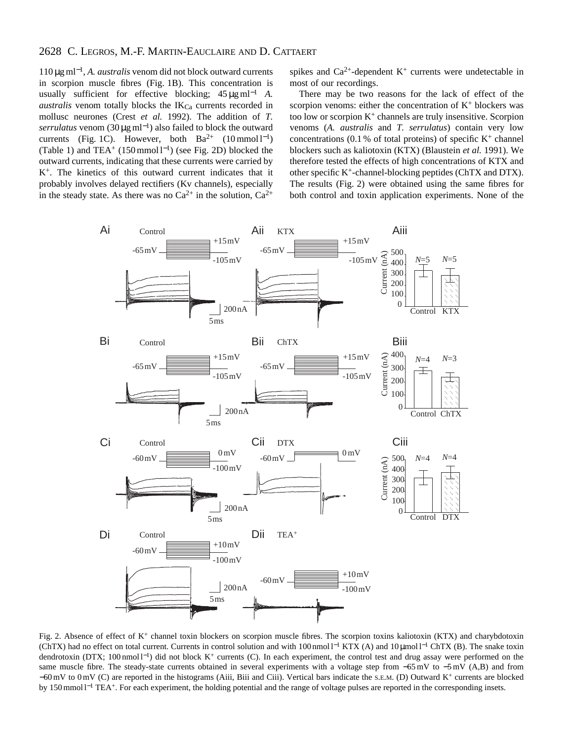# 2628 C. LEGROS, M.-F. MARTIN-EAUCLAIRE AND D. CATTAERT

110 µg ml<sup>−</sup>1, *A. australis* venom did not block outward currents in scorpion muscle fibres (Fig. 1B). This concentration is usually sufficient for effective blocking; 45 µg ml−<sup>1</sup> *A. australis* venom totally blocks the  $IK_{Ca}$  currents recorded in mollusc neurones (Crest *et al.* 1992). The addition of *T. serrulatus* venom (30 µg ml<sup>−</sup>1) also failed to block the outward currents (Fig. 1C). However, both  $Ba^{2+}$  (10 mmol l<sup>-1</sup>) (Table 1) and TEA<sup>+</sup> (150 mmol  $l^{-1}$ ) (see Fig. 2D) blocked the outward currents, indicating that these currents were carried by K+. The kinetics of this outward current indicates that it probably involves delayed rectifiers (Kv channels), especially in the steady state. As there was no  $Ca^{2+}$  in the solution,  $Ca^{2+}$ 

spikes and  $Ca^{2+}$ -dependent  $K^+$  currents were undetectable in most of our recordings.

There may be two reasons for the lack of effect of the scorpion venoms: either the concentration of  $K^+$  blockers was too low or scorpion  $K^+$  channels are truly insensitive. Scorpion venoms (*A. australis* and *T. serrulatus*) contain very low concentrations (0.1 % of total proteins) of specific  $K^+$  channel blockers such as kaliotoxin (KTX) (Blaustein *et al.* 1991). We therefore tested the effects of high concentrations of KTX and other specific K+-channel-blocking peptides (ChTX and DTX). The results (Fig. 2) were obtained using the same fibres for both control and toxin application experiments. None of the



Fig. 2. Absence of effect of K<sup>+</sup> channel toxin blockers on scorpion muscle fibres. The scorpion toxins kaliotoxin (KTX) and charybdotoxin (ChTX) had no effect on total current. Currents in control solution and with 100 nmol l−<sup>1</sup> KTX (A) and 10 µmol l−<sup>1</sup> ChTX (B). The snake toxin dendrotoxin (DTX; 100 nmol l<sup>−</sup>1) did not block K+ currents (C). In each experiment, the control test and drug assay were performed on the same muscle fibre. The steady-state currents obtained in several experiments with a voltage step from −65 mV to −5 mV (A,B) and from −60 mV to 0 mV (C) are reported in the histograms (Aiii, Biii and Ciii). Vertical bars indicate the S.E.M. (D) Outward K+ currents are blocked by 150 mmol l<sup>−1</sup> TEA<sup>+</sup>. For each experiment, the holding potential and the range of voltage pulses are reported in the corresponding insets.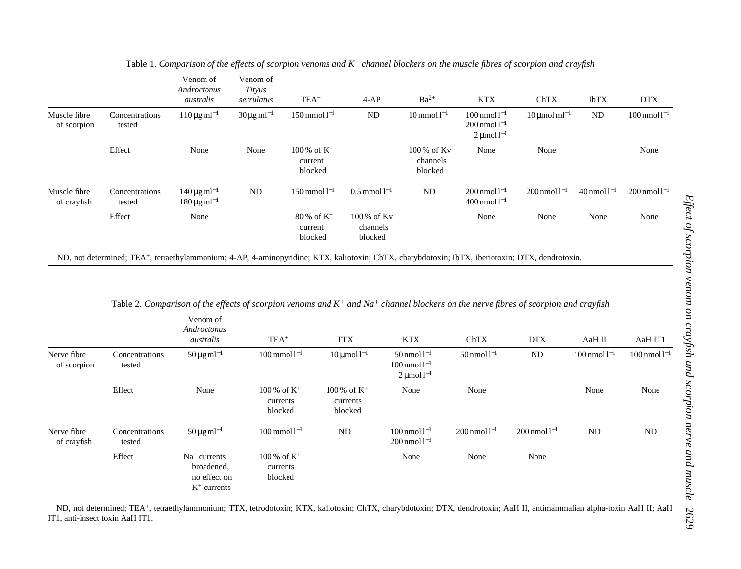|                             |                          | Venom of<br>Androctonus<br>australis                              | Venom of<br>Tityus<br>serrulatus       | $TEA+$                                          | $4-AP$                                | $Ba^{2+}$                                                         | <b>KTX</b>                                                         | ChTX                                                                                                                                                   | IbTX                | <b>DTX</b>                    |
|-----------------------------|--------------------------|-------------------------------------------------------------------|----------------------------------------|-------------------------------------------------|---------------------------------------|-------------------------------------------------------------------|--------------------------------------------------------------------|--------------------------------------------------------------------------------------------------------------------------------------------------------|---------------------|-------------------------------|
| Muscle fibre<br>of scorpion | Concentrations<br>tested | $110 \,\mu g \,\text{ml}^{-1}$                                    | $30 \,\mathrm{\mu g\,ml^{-1}}$         | $150$ mmol $l^{-1}$                             | ND                                    | $10$ mmol $l^{-1}$                                                | $100$ nmol $1^{-1}$<br>$200$ nmol $l^{-1}$<br>$2 \mu$ mol $1^{-1}$ | $10 \mu$ mol ml <sup>-1</sup>                                                                                                                          | <b>ND</b>           | $100 \,\mathrm{nmol}\,1^{-1}$ |
|                             | Effect                   | None                                                              | None                                   | $100\%$ of K <sup>+</sup><br>current<br>blocked |                                       | 100% of Kv<br>channels<br>blocked                                 | None                                                               | None                                                                                                                                                   |                     | None                          |
| Muscle fibre<br>of crayfish | Concentrations<br>tested | $140 \,\mathrm{\mu g\,ml^{-1}}$<br>$180 \,\mu g \,\text{ml}^{-1}$ | $\rm ND$                               | $150$ mmol $l^{-1}$                             | $0.5$ mmol $l^{-1}$                   | ND                                                                | $200$ nmol $l^{-1}$<br>$400$ nmol $l^{-1}$                         | $200$ nmol $l^{-1}$                                                                                                                                    | $40$ nmol $l^{-1}$  | $200$ nmol $l^{-1}$           |
|                             | Effect                   | None                                                              |                                        | $80\% \text{ of } K^{+}$<br>current<br>blocked  | 100% of Kv<br>channels<br>blocked     |                                                                   | None                                                               | None                                                                                                                                                   | None                | None                          |
|                             |                          | Venom of<br>Androctonus<br>australis                              | $TEA+$                                 |                                                 | <b>TTX</b>                            | <b>KTX</b>                                                        | ChTX                                                               | Table 2. Comparison of the effects of scorpion venoms and $K^+$ and $Na^+$ channel blockers on the nerve fibres of scorpion and crayfish<br><b>DTX</b> | AaH II              | AaH IT1                       |
| Nerve fibre<br>of scorpion  | Concentrations<br>tested | $50 \,\mathrm{\mu g\,ml^{-1}}$                                    | $100 \,\mathrm{mmol}\,\mathrm{l}^{-1}$ |                                                 | $10 \mu$ mol $1^{-1}$                 | $50$ nmol $l^{-1}$<br>$100$ nmol $l^{-1}$<br>$2 \mu$ mol $1^{-1}$ | $50$ nmol $l^{-1}$                                                 | ND                                                                                                                                                     | $100$ nmol $l^{-1}$ | $100$ nmol $l^{-1}$           |
|                             | Effect                   | None                                                              | 100 % of $K^+$<br>currents<br>blocked  |                                                 | 100 % of $K^+$<br>currents<br>blocked | None                                                              | None                                                               |                                                                                                                                                        | None                | None                          |
| Nerve fibre<br>of crayfish  | Concentrations<br>tested | $50 \,\mathrm{\mu g\,ml^{-1}}$                                    | $100$ mmol $l^{-1}$                    |                                                 | ND                                    | $100$ nmol $l^{-1}$<br>$200$ nmol $l^{-1}$                        | $200$ nmol $l^{-1}$                                                | $200$ nmol $l^{-1}$                                                                                                                                    | $\rm ND$            | ND                            |
|                             | Effect                   | $Na+ currents$<br>broadened,<br>no effect on<br>$K^+$ currents    | 100 % of $K^+$<br>currents<br>blocked  |                                                 |                                       | None                                                              | None                                                               | None                                                                                                                                                   |                     |                               |

Table 1. *Comparison of the effects of scorpion venoms and K+ channel blockers on the muscle fibres of scorpion and crayfish*

ND, not determined; TEA+, tetraethylammonium; TTX, tetrodotoxin; KTX, kaliotoxin; ChTX, charybdotoxin; DTX, dendrotoxin; AaH II, antimammalian alpha-toxin AaH II; AaH IT1, anti-insect toxin AaH IT1.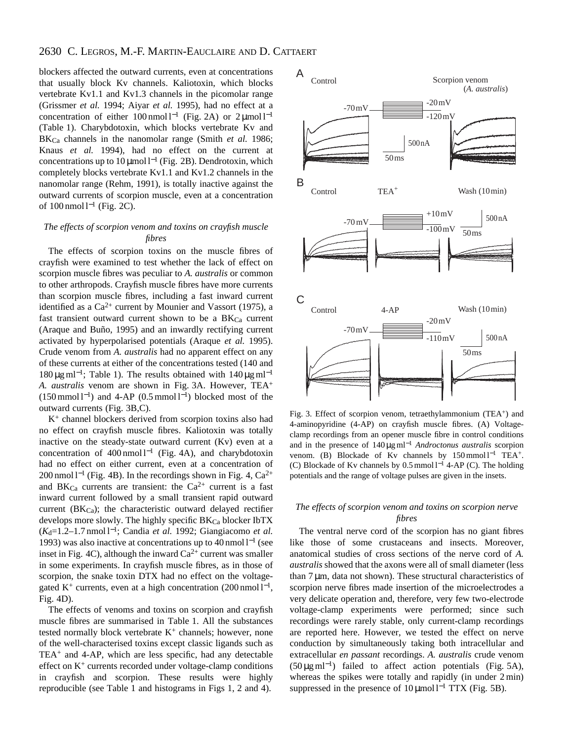# 2630 C. LEGROS, M.-F. MARTIN-EAUCLAIRE AND D. CATTAERT

blockers affected the outward currents, even at concentrations that usually block Kv channels. Kaliotoxin, which blocks vertebrate Kv1.1 and Kv1.3 channels in the picomolar range (Grissmer *et al.* 1994; Aiyar *et al.* 1995), had no effect at a concentration of either 100 nmol  $l^{-1}$  (Fig. 2A) or 2 µmol  $l^{-1}$ (Table 1). Charybdotoxin, which blocks vertebrate Kv and BKCa channels in the nanomolar range (Smith *et al.* 1986; Knaus *et al.* 1994), had no effect on the current at concentrations up to  $10 \mu$ mol l<sup>-1</sup> (Fig. 2B). Dendrotoxin, which completely blocks vertebrate Kv1.1 and Kv1.2 channels in the nanomolar range (Rehm, 1991), is totally inactive against the outward currents of scorpion muscle, even at a concentration of  $100$  nmol l<sup>−1</sup> (Fig. 2C).

### *The effects of scorpion venom and toxins on crayfish muscle fibres*

The effects of scorpion toxins on the muscle fibres of crayfish were examined to test whether the lack of effect on scorpion muscle fibres was peculiar to *A. australis* or common to other arthropods. Crayfish muscle fibres have more currents than scorpion muscle fibres, including a fast inward current identified as a  $Ca^{2+}$  current by Mounier and Vassort (1975), a fast transient outward current shown to be a  $B K_{Ca}$  current (Araque and Buño, 1995) and an inwardly rectifying current activated by hyperpolarised potentials (Araque *et al.* 1995). Crude venom from *A. australis* had no apparent effect on any of these currents at either of the concentrations tested (140 and 180 μg ml<sup>-1</sup>; Table 1). The results obtained with  $140 \mu g$  ml<sup>-1</sup> *A. australis* venom are shown in Fig. 3A. However, TEA+  $(150 \text{ mmol } l^{-1})$  and 4-AP  $(0.5 \text{ mmol } l^{-1})$  blocked most of the outward currents (Fig. 3B,C).

 $K<sup>+</sup>$  channel blockers derived from scorpion toxins also had no effect on crayfish muscle fibres. Kaliotoxin was totally inactive on the steady-state outward current (Kv) even at a concentration of 400 nmol l−<sup>1</sup> (Fig. 4A), and charybdotoxin had no effect on either current, even at a concentration of 200 nmol  $l^{-1}$  (Fig. 4B). In the recordings shown in Fig. 4, Ca<sup>2+</sup> and BK $_{Ca}$  currents are transient: the  $Ca^{2+}$  current is a fast inward current followed by a small transient rapid outward current ( $BK_{Ca}$ ); the characteristic outward delayed rectifier develops more slowly. The highly specific BK<sub>Ca</sub> blocker IbTX (*K*d=1.2–1.7 nmol l<sup>−</sup>1; Candia *et al.* 1992; Giangiacomo *et al.* 1993) was also inactive at concentrations up to 40 nmol l−<sup>1</sup> (see inset in Fig. 4C), although the inward  $Ca^{2+}$  current was smaller in some experiments. In crayfish muscle fibres, as in those of scorpion, the snake toxin DTX had no effect on the voltagegated K<sup>+</sup> currents, even at a high concentration  $(200 \text{ nmol } 1^{-1})$ , Fig. 4D).

The effects of venoms and toxins on scorpion and crayfish muscle fibres are summarised in Table 1. All the substances tested normally block vertebrate  $K^+$  channels; however, none of the well-characterised toxins except classic ligands such as  $TEA<sup>+</sup>$  and 4-AP, which are less specific, had any detectable effect on  $K<sup>+</sup>$  currents recorded under voltage-clamp conditions in crayfish and scorpion. These results were highly reproducible (see Table 1 and histograms in Figs 1, 2 and 4).



Fig. 3. Effect of scorpion venom, tetraethylammonium (TEA<sup>+</sup>) and 4-aminopyridine (4-AP) on crayfish muscle fibres. (A) Voltageclamp recordings from an opener muscle fibre in control conditions and in the presence of 140 µg ml−<sup>1</sup> *Androctonus australis* scorpion venom. (B) Blockade of Kv channels by 150 mmol l<sup>-1</sup> TEA<sup>+</sup>. (C) Blockade of Kv channels by  $0.5 \text{ mmol } 1^{-1}$  4-AP (C). The holding potentials and the range of voltage pulses are given in the insets.

### *The effects of scorpion venom and toxins on scorpion nerve fibres*

The ventral nerve cord of the scorpion has no giant fibres like those of some crustaceans and insects. Moreover, anatomical studies of cross sections of the nerve cord of *A. australis* showed that the axons were all of small diameter (less than 7 µm, data not shown). These structural characteristics of scorpion nerve fibres made insertion of the microelectrodes a very delicate operation and, therefore, very few two-electrode voltage-clamp experiments were performed; since such recordings were rarely stable, only current-clamp recordings are reported here. However, we tested the effect on nerve conduction by simultaneously taking both intracellular and extracellular *en passant* recordings. *A. australis* crude venom  $(50 \mu g \text{ ml}^{-1})$  failed to affect action potentials (Fig. 5A), whereas the spikes were totally and rapidly (in under 2 min) suppressed in the presence of  $10 \mu$ mol l<sup>-1</sup> TTX (Fig. 5B).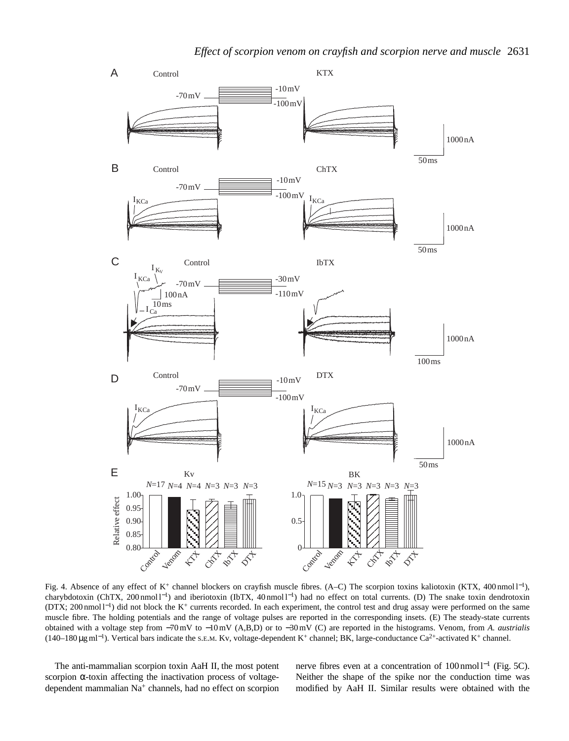

Fig. 4. Absence of any effect of K+ channel blockers on crayfish muscle fibres. (A–C) The scorpion toxins kaliotoxin (KTX, 400 nmol l<sup>−</sup>1), charybdotoxin (ChTX, 200 nmol l<sup>−</sup>1) and iberiotoxin (IbTX, 40 nmol l−1) had no effect on total currents. (D) The snake toxin dendrotoxin (DTX; 200 nmol l<sup>−</sup>1) did not block the K+ currents recorded. In each experiment, the control test and drug assay were performed on the same muscle fibre. The holding potentials and the range of voltage pulses are reported in the corresponding insets. (E) The steady-state currents obtained with a voltage step from −70 mV to −10 mV (A,B,D) or to −30 mV (C) are reported in the histograms. Venom, from *A. austrialis* (140–180 µg ml<sup>−</sup>1). Vertical bars indicate the S.E.M. Kv, voltage-dependent K+ channel; BK, large-conductance Ca2+-activated K+ channel.

The anti-mammalian scorpion toxin AaH II, the most potent scorpion  $\alpha$ -toxin affecting the inactivation process of voltagedependent mammalian Na+ channels, had no effect on scorpion nerve fibres even at a concentration of 100 nmol l<sup>−1</sup> (Fig. 5C). Neither the shape of the spike nor the conduction time was modified by AaH II. Similar results were obtained with the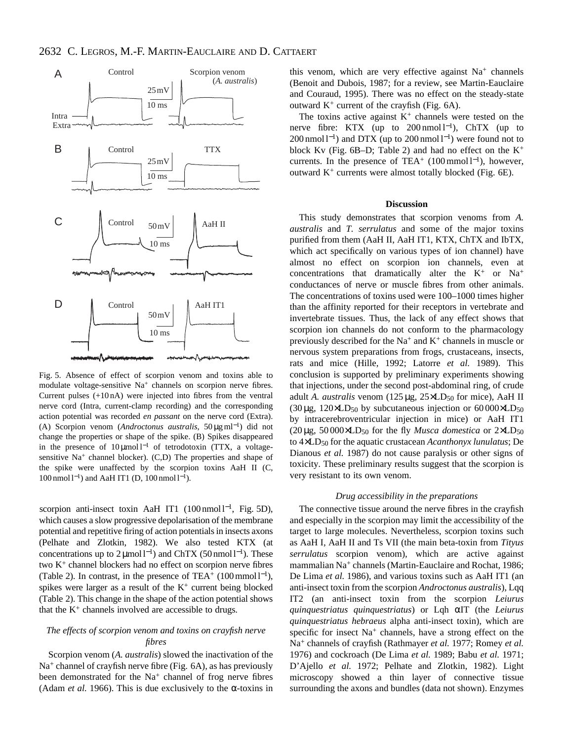

Fig. 5. Absence of effect of scorpion venom and toxins able to modulate voltage-sensitive Na<sup>+</sup> channels on scorpion nerve fibres. Current pulses (+10 nA) were injected into fibres from the ventral nerve cord (Intra, current-clamp recording) and the corresponding action potential was recorded *en passant* on the nerve cord (Extra). (A) Scorpion venom (*Androctonus australis*, 50 µg ml<sup>−</sup>1) did not change the properties or shape of the spike. (B) Spikes disappeared in the presence of  $10 \mu \text{mol}^{-1}$  of tetrodotoxin (TTX, a voltagesensitive  $Na<sup>+</sup>$  channel blocker). (C,D) The properties and shape of the spike were unaffected by the scorpion toxins AaH II (C, 100 nmol l<sup>−</sup>1) and AaH IT1 (D, 100 nmol l−1).

scorpion anti-insect toxin AaH IT1  $(100 \text{ nmol } l^{-1}$ , Fig. 5D), which causes a slow progressive depolarisation of the membrane potential and repetitive firing of action potentials in insects axons (Pelhate and Zlotkin, 1982). We also tested KTX (at concentrations up to 2µmol l<sup>-1</sup>) and ChTX (50 nmol l<sup>-1</sup>). These two K+ channel blockers had no effect on scorpion nerve fibres (Table 2). In contrast, in the presence of TEA+  $(100 \text{mmol } 1^{-1})$ , spikes were larger as a result of the  $K^+$  current being blocked (Table 2). This change in the shape of the action potential shows that the  $K^+$  channels involved are accessible to drugs.

### *The effects of scorpion venom and toxins on crayfish nerve fibres*

Scorpion venom (*A. australis*) slowed the inactivation of the  $Na<sup>+</sup>$  channel of crayfish nerve fibre (Fig. 6A), as has previously been demonstrated for the Na<sup>+</sup> channel of frog nerve fibres (Adam *et al.* 1966). This is due exclusively to the  $\alpha$ -toxins in

this venom, which are very effective against  $Na<sup>+</sup>$  channels (Benoit and Dubois, 1987; for a review, see Martin-Eauclaire and Couraud, 1995). There was no effect on the steady-state outward  $K^+$  current of the crayfish (Fig. 6A).

The toxins active against  $K^+$  channels were tested on the nerve fibre: KTX (up to  $200 \text{ nmol } 1^{-1}$ ), ChTX (up to 200 nmol  $l^{-1}$ ) and DTX (up to 200 nmol  $l^{-1}$ ) were found not to block Kv (Fig.  $6B-D$ ; Table 2) and had no effect on the K<sup>+</sup> currents. In the presence of TEA<sup>+</sup> (100 mmol  $l^{-1}$ ), however, outward  $K^+$  currents were almost totally blocked (Fig. 6E).

#### **Discussion**

This study demonstrates that scorpion venoms from *A. australis* and *T. serrulatus* and some of the major toxins purified from them (AaH II, AaH IT1, KTX, ChTX and IbTX, which act specifically on various types of ion channel) have almost no effect on scorpion ion channels, even at concentrations that dramatically alter the  $K^+$  or  $Na^+$ conductances of nerve or muscle fibres from other animals. The concentrations of toxins used were 100–1000 times higher than the affinity reported for their receptors in vertebrate and invertebrate tissues. Thus, the lack of any effect shows that scorpion ion channels do not conform to the pharmacology previously described for the  $Na^+$  and  $K^+$  channels in muscle or nervous system preparations from frogs, crustaceans, insects, rats and mice (Hille, 1992; Latorre *et al.* 1989). This conclusion is supported by preliminary experiments showing that injections, under the second post-abdominal ring, of crude adult *A. australis* venom (125 µg, 25×LD<sub>50</sub> for mice), AaH II  $(30 \mu$ g, 120×LD<sub>50</sub> by subcutaneous injection or 60000×LD<sub>50</sub> by intracerebroventricular injection in mice) or AaH IT1  $(20 \mu$ g, 50 000×LD<sub>50</sub> for the fly *Musca domestica* or  $2 \times LD_{50}$ to 4×LD50 for the aquatic crustacean *Acanthonyx lunulatus*; De Dianous *et al.* 1987) do not cause paralysis or other signs of toxicity. These preliminary results suggest that the scorpion is very resistant to its own venom.

#### *Drug accessibility in the preparations*

The connective tissue around the nerve fibres in the crayfish and especially in the scorpion may limit the accessibility of the target to large molecules. Nevertheless, scorpion toxins such as AaH I, AaH II and Ts VII (the main beta-toxin from *Tityus serrulatus* scorpion venom), which are active against mammalian Na<sup>+</sup> channels (Martin-Eauclaire and Rochat, 1986; De Lima *et al.* 1986), and various toxins such as AaH IT1 (an anti-insect toxin from the scorpion *Androctonus australis*), Lqq IT2 (an anti-insect toxin from the scorpion *Leiurus quinquestriatus quinquestriatus*) or Lqh αIT (the *Leiurus quinquestriatus hebraeus* alpha anti-insect toxin), which are specific for insect Na<sup>+</sup> channels, have a strong effect on the Na+ channels of crayfish (Rathmayer *et al.* 1977; Romey *et al.* 1976) and cockroach (De Lima *et al.* 1989; Babu *et al.* 1971; D'Ajello *et al.* 1972; Pelhate and Zlotkin, 1982). Light microscopy showed a thin layer of connective tissue surrounding the axons and bundles (data not shown). Enzymes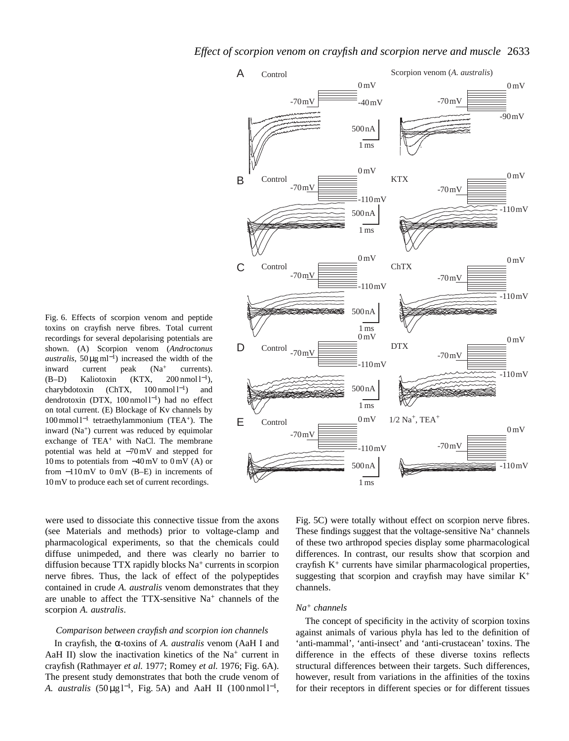Fig. 6. Effects of scorpion venom and peptide toxins on crayfish nerve fibres. Total current recordings for several depolarising potentials are shown. (A) Scorpion venom (*Androctonus australis*, 50 µg ml<sup>−</sup>1) increased the width of the inward current peak (Na<sup>+</sup> currents). (B–D) Kaliotoxin (KTX, 200 nmol  $l^{-1}$ ), charybdotoxin (ChTX, 100 nmol l<sup>−</sup>1) and dendrotoxin (DTX, 100 nmol l<sup>−</sup>1) had no effect on total current. (E) Blockage of Kv channels by 100 mmol l−<sup>1</sup> tetraethylammonium (TEA+). The inward (Na<sup>+</sup>) current was reduced by equimolar exchange of  $TEA<sup>+</sup>$  with NaCl. The membrane potential was held at −70 mV and stepped for 10 ms to potentials from −40 mV to 0 mV (A) or from −110 mV to 0 mV (B–E) in increments of 10 mV to produce each set of current recordings.



were used to dissociate this connective tissue from the axons (see Materials and methods) prior to voltage-clamp and pharmacological experiments, so that the chemicals could diffuse unimpeded, and there was clearly no barrier to diffusion because TTX rapidly blocks Na+ currents in scorpion nerve fibres. Thus, the lack of effect of the polypeptides contained in crude *A. australis* venom demonstrates that they are unable to affect the TTX-sensitive Na<sup>+</sup> channels of the scorpion *A. australis*.

### *Comparison between crayfish and scorpion ion channels*

In crayfish, the α-toxins of *A. australis* venom (AaH I and AaH II) slow the inactivation kinetics of the Na<sup>+</sup> current in crayfish (Rathmayer *et al.* 1977; Romey *et al.* 1976; Fig. 6A). The present study demonstrates that both the crude venom of *A. australis* (50 μg l<sup>-1</sup>, Fig. 5A) and AaH II (100 nmol l<sup>-1</sup>,

Fig. 5C) were totally without effect on scorpion nerve fibres. These findings suggest that the voltage-sensitive  $Na<sup>+</sup>$  channels of these two arthropod species display some pharmacological differences. In contrast, our results show that scorpion and crayfish  $K^+$  currents have similar pharmacological properties, suggesting that scorpion and crayfish may have similar  $K^+$ channels.

### *Na+ channels*

The concept of specificity in the activity of scorpion toxins against animals of various phyla has led to the definition of 'anti-mammal', 'anti-insect' and 'anti-crustacean' toxins. The difference in the effects of these diverse toxins reflects structural differences between their targets. Such differences, however, result from variations in the affinities of the toxins for their receptors in different species or for different tissues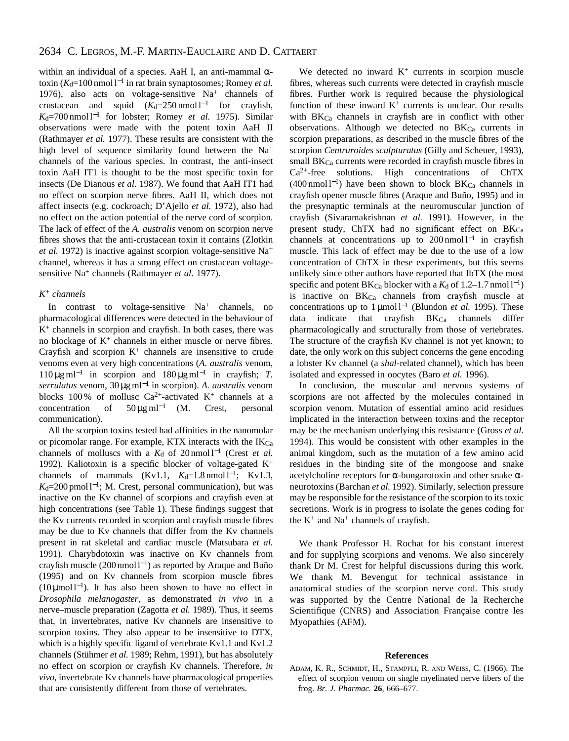within an individual of a species. AaH I, an anti-mammal  $\alpha$ toxin ( $K_d$ =100 nmol l<sup>−1</sup> in rat brain synaptosomes; Romey *et al.* 1976), also acts on voltage-sensitive  $Na<sup>+</sup>$  channels of crustacean and squid  $(K_d=250 \text{ nmol } 1^{-1}$  for crayfish, *K*<sub>d</sub>=700 nmol l<sup>−1</sup> for lobster; Romey *et al.* 1975). Similar observations were made with the potent toxin AaH II (Rathmayer *et al.* 1977). These results are consistent with the high level of sequence similarity found between the Na<sup>+</sup> channels of the various species. In contrast, the anti-insect toxin AaH IT1 is thought to be the most specific toxin for insects (De Dianous *et al.* 1987). We found that AaH IT1 had no effect on scorpion nerve fibres. AaH II, which does not affect insects (e.g. cockroach; D'Ajello *et al.* 1972), also had no effect on the action potential of the nerve cord of scorpion. The lack of effect of the *A. australis* venom on scorpion nerve fibres shows that the anti-crustacean toxin it contains (Zlotkin *et al.* 1972) is inactive against scorpion voltage-sensitive Na<sup>+</sup> channel, whereas it has a strong effect on crustacean voltagesensitive Na<sup>+</sup> channels (Rathmayer *et al.* 1977).

### *K+ channels*

In contrast to voltage-sensitive Na<sup>+</sup> channels, no pharmacological differences were detected in the behaviour of  $K<sup>+</sup>$  channels in scorpion and crayfish. In both cases, there was no blockage of  $K^+$  channels in either muscle or nerve fibres. Crayfish and scorpion  $K^+$  channels are insensitive to crude venoms even at very high concentrations (*A. australis* venom,  $110 \mu\text{g} \text{ ml}^{-1}$  in scorpion and  $180 \mu\text{g} \text{ ml}^{-1}$  in crayfish; *T*. *serrulatus* venom, 30 µg ml−<sup>1</sup> in scorpion). *A. australis* venom blocks 100% of mollusc  $Ca^{2+}$ -activated K<sup>+</sup> channels at a concentration of  $50 \mu g$  ml<sup>-1</sup> (M. Crest, personal communication).

All the scorpion toxins tested had affinities in the nanomolar or picomolar range. For example, KTX interacts with the  $IK_{Ca}$ channels of molluscs with a *K*<sub>d</sub> of 20 nmol l<sup>−1</sup> (Crest *et al.* 1992). Kaliotoxin is a specific blocker of voltage-gated  $K^+$ channels of mammals (Kv1.1,  $K_d=1.8$  nmol l<sup>-1</sup>; Kv1.3, *K*<sub>d</sub>=200 pmol l<sup>-1</sup>; M. Crest, personal communication), but was inactive on the Kv channel of scorpions and crayfish even at high concentrations (see Table 1). These findings suggest that the Kv currents recorded in scorpion and crayfish muscle fibres may be due to Kv channels that differ from the Kv channels present in rat skeletal and cardiac muscle (Matsubara *et al.* 1991). Charybdotoxin was inactive on Kv channels from crayfish muscle (200 nmol  $l^{-1}$ ) as reported by Araque and Buño (1995) and on Kv channels from scorpion muscle fibres (10µmol l<sup>-1</sup>). It has also been shown to have no effect in *Drosophila melanogaster*, as demonstrated *in vivo* in a nerve–muscle preparation (Zagotta *et al.* 1989). Thus, it seems that, in invertebrates, native Kv channels are insensitive to scorpion toxins. They also appear to be insensitive to DTX, which is a highly specific ligand of vertebrate Kv1.1 and Kv1.2 channels (Stühmer *et al.* 1989; Rehm, 1991), but has absolutely no effect on scorpion or crayfish Kv channels. Therefore, *in vivo*, invertebrate Kv channels have pharmacological properties that are consistently different from those of vertebrates.

We detected no inward  $K^+$  currents in scorpion muscle fibres, whereas such currents were detected in crayfish muscle fibres. Further work is required because the physiological function of these inward  $K^+$  currents is unclear. Our results with  $BK_{Ca}$  channels in crayfish are in conflict with other observations. Although we detected no  $BK_{Ca}$  currents in scorpion preparations, as described in the muscle fibres of the scorpion *Centruroides sculpturatus* (Gilly and Scheuer, 1993), small BK<sub>Ca</sub> currents were recorded in crayfish muscle fibres in  $Ca<sup>2+</sup>$ -free solutions. High concentrations of ChTX  $(400 \text{ nmol } l^{-1})$  have been shown to block BK<sub>Ca</sub> channels in crayfish opener muscle fibres (Araque and Buño, 1995) and in the presynaptic terminals at the neuromuscular junction of crayfish (Sivaramakrishnan *et al.* 1991). However, in the present study, ChTX had no significant effect on BKCa channels at concentrations up to 200 nmol  $l^{-1}$  in crayfish muscle. This lack of effect may be due to the use of a low concentration of ChTX in these experiments, but this seems unlikely since other authors have reported that IbTX (the most specific and potent BK<sub>Ca</sub> blocker with a  $K_d$  of 1.2–1.7 nmol l<sup>-1</sup>) is inactive on  $BK_{Ca}$  channels from crayfish muscle at concentrations up to 1 µmol l−<sup>1</sup> (Blundon *et al.* 1995). These data indicate that crayfish  $B K_{Ca}$  channels differ pharmacologically and structurally from those of vertebrates. The structure of the crayfish Kv channel is not yet known; to date, the only work on this subject concerns the gene encoding a lobster Kv channel (a *shal*-related channel), which has been isolated and expressed in oocytes (Baro *et al.* 1996).

In conclusion, the muscular and nervous systems of scorpions are not affected by the molecules contained in scorpion venom. Mutation of essential amino acid residues implicated in the interaction between toxins and the receptor may be the mechanism underlying this resistance (Gross *et al.* 1994). This would be consistent with other examples in the animal kingdom, such as the mutation of a few amino acid residues in the binding site of the mongoose and snake acetylcholine receptors for  $\alpha$ -bungarotoxin and other snake  $\alpha$ neurotoxins (Barchan *et al.* 1992). Similarly, selection pressure may be responsible for the resistance of the scorpion to its toxic secretions. Work is in progress to isolate the genes coding for the  $K^+$  and  $Na^+$  channels of crayfish.

We thank Professor H. Rochat for his constant interest and for supplying scorpions and venoms. We also sincerely thank Dr M. Crest for helpful discussions during this work. We thank M. Bevengut for technical assistance in anatomical studies of the scorpion nerve cord. This study was supported by the Centre National de la Recherche Scientifique (CNRS) and Association Française contre les Myopathies (AFM).

#### **References**

ADAM, K. R., SCHMIDT, H., STAMPFLI, R. AND WEISS, C. (1966). The effect of scorpion venom on single myelinated nerve fibers of the frog. *Br. J. Pharmac.* **26**, 666–677.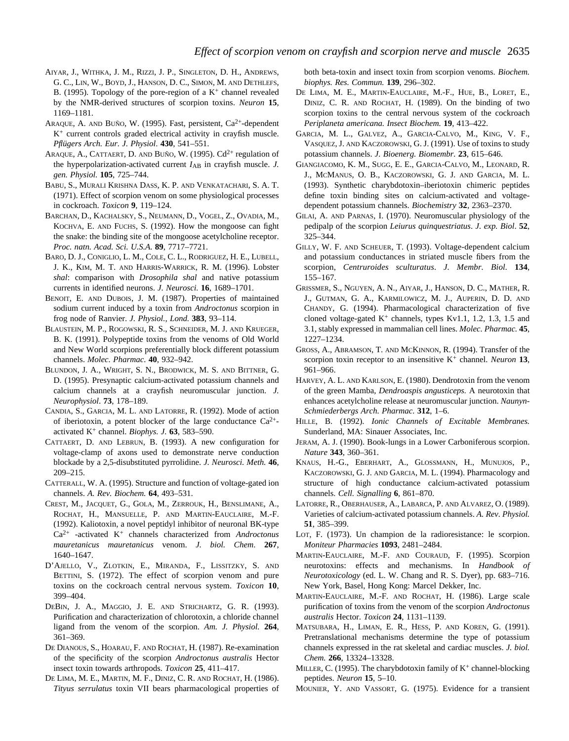- AIYAR, J., WITHKA, J. M., RIZZI, J. P., SINGLETON, D. H., ANDREWS, G. C., LIN, W., BOYD, J., HANSON, D. C., SIMON, M. AND DETHLEFS, B. (1995). Topology of the pore-region of a  $K^+$  channel revealed by the NMR-derived structures of scorpion toxins. *Neuron* **15**, 1169–1181.
- ARAQUE, A. AND BUÑO, W. (1995). Fast, persistent, Ca2+-dependent  $K^+$  current controls graded electrical activity in crayfish muscle. *Pflügers Arch. Eur. J. Physiol*. **430**, 541–551.
- ARAQUE, A., CATTAERT, D. AND BUÑO, W. (1995). Cd<sup>2+</sup> regulation of the hyperpolarization-activated current  $I_{AB}$  in crayfish muscle. *J*. *gen. Physiol.* **105**, 725–744.
- BABU, S., MURALI KRISHNA DASS, K. P. AND VENKATACHARI, S. A. T. (1971). Effect of scorpion venom on some physiological processes in cockroach. *Toxicon* **9**, 119–124.
- BARCHAN, D., KACHALSKY, S., NEUMANN, D., VOGEL, Z., OVADIA, M., KOCHVA, E. AND FUCHS, S. (1992). How the mongoose can fight the snake: the binding site of the mongoose acetylcholine receptor. *Proc. natn. Acad. Sci. U.S.A.* **89**, 7717–7721.
- BARO, D. J., CONIGLIO, L. M., COLE, C. L., RODRIGUEZ, H. E., LUBELL, J. K., KIM, M. T. AND HARRIS-WARRICK, R. M. (1996). Lobster *shal*: comparison with *Drosophila shal* and native potassium currents in identified neurons. *J. Neurosci.* **16**, 1689–1701.
- BENOIT, E. AND DUBOIS, J. M. (1987). Properties of maintained sodium current induced by a toxin from *Androctonus* scorpion in frog node of Ranvier. *J. Physiol., Lond.* **383**, 93–114.
- BLAUSTEIN, M. P., ROGOWSKI, R. S., SCHNEIDER, M. J. AND KRUEGER, B. K. (1991). Polypeptide toxins from the venoms of Old World and New World scorpions preferentially block different potassium channels. *Molec. Pharmac.* **40**, 932–942.
- BLUNDON, J. A., WRIGHT, S. N., BRODWICK, M. S. AND BITTNER, G. D. (1995). Presynaptic calcium-activated potassium channels and calcium channels at a crayfish neuromuscular junction. *J. Neurophysiol*. **73**, 178–189.
- CANDIA, S., GARCIA, M. L. AND LATORRE, R. (1992). Mode of action of iberiotoxin, a potent blocker of the large conductance  $Ca^{2+}$ activated K<sup>+</sup> channel. *Biophys. J.* **63**, 583–590.
- CATTAERT, D. AND LEBRUN, B. (1993). A new configuration for voltage-clamp of axons used to demonstrate nerve conduction blockade by a 2,5-disubstituted pyrrolidine. *J. Neurosci. Meth.* **46**, 209–215.
- CATTERALL, W. A. (1995). Structure and function of voltage-gated ion channels. *A. Rev. Biochem.* **64**, 493–531.
- CREST, M., JACQUET, G., GOLA, M., ZERROUK, H., BENSLIMANE, A., ROCHAT, H., MANSUELLE, P. AND MARTIN-EAUCLAIRE, M.-F. (1992). Kaliotoxin, a novel peptidyl inhibitor of neuronal BK-type Ca2+ -activated K+ channels characterized from *Androctonus mauretanicus mauretanicus* venom. *J. biol. Chem*. **267**, 1640–1647.
- D'AJELLO, V., ZLOTKIN, E., MIRANDA, F., LISSITZKY, S. AND BETTINI, S. (1972). The effect of scorpion venom and pure toxins on the cockroach central nervous system. *Toxicon* **10**, 399–404.
- DEBIN, J. A., MAGGIO, J. E. AND STRICHARTZ, G. R. (1993). Purification and characterization of chlorotoxin, a chloride channel ligand from the venom of the scorpion. *Am. J. Physiol.* **264**, 361–369.
- DE DIANOUS, S., HOARAU, F. AND ROCHAT, H. (1987). Re-examination of the specificity of the scorpion *Androctonus australis* Hector insect toxin towards arthropods. *Toxicon* **25**, 411–417.
- DE LIMA, M. E., MARTIN, M. F., DINIZ, C. R. AND ROCHAT, H. (1986). *Tityus serrulatus* toxin VII bears pharmacological properties of

both beta-toxin and insect toxin from scorpion venoms. *Biochem. biophys. Res. Commun.* **139**, 296–302.

- DE LIMA, M. E., MARTIN-EAUCLAIRE, M.-F., HUE, B., LORET, E., DINIZ, C. R. AND ROCHAT, H. (1989). On the binding of two scorpion toxins to the central nervous system of the cockroach *Periplaneta americana. Insect Biochem.* **19**, 413–422.
- GARCIA, M. L., GALVEZ, A., GARCIA-CALVO, M., KING, V. F., VASQUEZ, J. AND KACZOROWSKI, G. J. (1991). Use of toxins to study potassium channels. *J. Bioenerg. Biomembr.* **23**, 615–646.
- GIANGIACOMO, K. M., SUGG, E. E., GARCIA-CALVO, M., LEONARD, R. J., MCMANUS, O. B., KACZOROWSKI, G. J. AND GARCIA, M. L. (1993). Synthetic charybdotoxin–iberiotoxin chimeric peptides define toxin binding sites on calcium-activated and voltagedependent potassium channels. *Biochemistry* **32**, 2363–2370.
- GILAI, A. AND PARNAS, I. (1970). Neuromuscular physiology of the pedipalp of the scorpion *Leiurus quinquestriatus*. *J. exp. Biol*. **52**, 325–344.
- GILLY, W. F. AND SCHEUER, T. (1993). Voltage-dependent calcium and potassium conductances in striated muscle fibers from the scorpion, *Centruroides sculturatus*. *J. Membr. Biol.* **134**, 155–167.
- GRISSMER, S., NGUYEN, A. N., AIYAR, J., HANSON, D. C., MATHER, R. J., GUTMAN, G. A., KARMILOWICZ, M. J., AUPERIN, D. D. AND CHANDY, G. (1994). Pharmacological characterization of five cloned voltage-gated  $K^+$  channels, types Kv1.1, 1.2, 1.3, 1.5 and 3.1, stably expressed in mammalian cell lines. *Molec. Pharmac.* **45**, 1227–1234.
- GROSS, A., ABRAMSON, T. AND MCKINNON, R. (1994). Transfer of the scorpion toxin receptor to an insensitive K<sup>+</sup> channel. *Neuron* **13**, 961–966.
- HARVEY, A. L. AND KARLSON, E. (1980). Dendrotoxin from the venom of the green Mamba, *Dendroaspis angusticeps.* A neurotoxin that enhances acetylcholine release at neuromuscular junction. *Naunyn-Schmiederbergs Arch. Pharmac.* **312**, 1–6.
- HILLE, B. (1992). *Ionic Channels of Excitable Membranes.* Sunderland, MA: Sinauer Associates, Inc.
- JERAM, A. J. (1990). Book-lungs in a Lower Carboniferous scorpion. *Nature* **343**, 360–361.
- KNAUS, H.-G., EBERHART, A., GLOSSMANN, H., MUNUJOS, P., KACZOROWSKI, G. J. AND GARCIA, M. L. (1994). Pharmacology and structure of high conductance calcium-activated potassium channels. *Cell. Signalling* **6**, 861–870.
- LATORRE, R., OBERHAUSER, A., LABARCA, P. AND ALVAREZ, O. (1989). Varieties of calcium-activated potassium channels. *A. Rev. Physiol.* **51**, 385–399.
- LOT, F. (1973). Un champion de la radioresistance: le scorpion. *Moniteur Pharmacies* **1093**, 2481–2484.
- MARTIN-EAUCLAIRE, M.-F. AND COURAUD, F. (1995). Scorpion neurotoxins: effects and mechanisms. In *Handbook of Neurotoxicology* (ed. L. W. Chang and R. S. Dyer), pp. 683–716. New York, Basel, Hong Kong: Marcel Dekker, Inc.
- MARTIN-EAUCLAIRE, M.-F. AND ROCHAT, H. (1986). Large scale purification of toxins from the venom of the scorpion *Androctonus australis* Hector. *Toxicon* **24**, 1131–1139.
- MATSUBARA, H., LIMAN, E. R., HESS, P. AND KOREN, G. (1991). Pretranslational mechanisms determine the type of potassium channels expressed in the rat skeletal and cardiac muscles. *J. biol. Chem.* **266**, 13324–13328.
- MILLER, C. (1995). The charybdotoxin family of  $K^+$  channel-blocking peptides. *Neuron* **15**, 5–10.
- MOUNIER, Y. AND VASSORT, G. (1975). Evidence for a transient